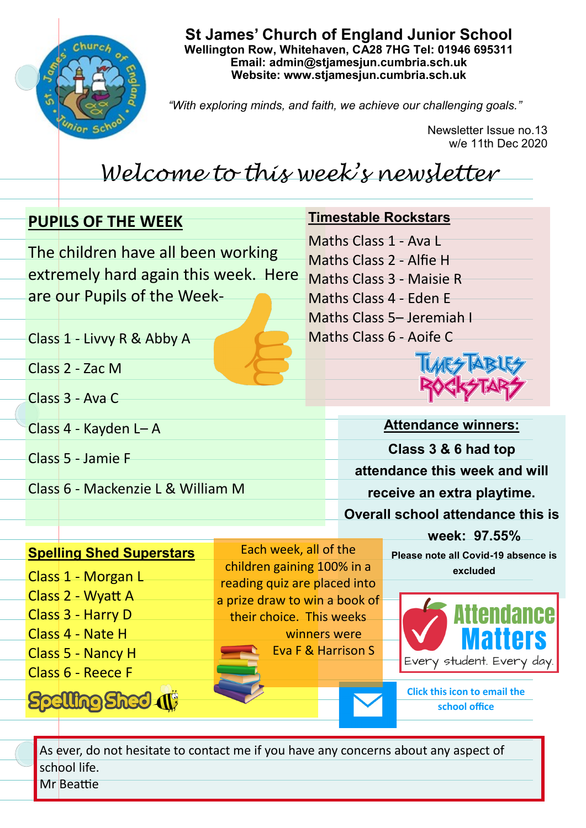

**St James' Church of England Junior School Wellington Row, Whitehaven, CA28 7HG Tel: 01946 695311 Email: admin@stjamesjun.cumbria.sch.uk Website: www.stjamesjun.cumbria.sch.uk**

*"With exploring minds, and faith, we achieve our challenging goals."*

Newsletter Issue no.13 w/e 11th Dec 2020

## *Welcome to this week's newsletter*

|  | <b>PUPILS OF THE WEEK</b><br>The children have all been working<br>extremely hard again this week. Here |                                                           |  | <b>Timestable Rockstars</b>                                                  |                                                                 |  |
|--|---------------------------------------------------------------------------------------------------------|-----------------------------------------------------------|--|------------------------------------------------------------------------------|-----------------------------------------------------------------|--|
|  |                                                                                                         |                                                           |  | Maths Class 1 - Ava L<br>Maths Class 2 - Alfie H<br>Maths Class 3 - Maisie R |                                                                 |  |
|  | are our Pupils of the Week-                                                                             |                                                           |  |                                                                              | Maths Class 4 - Eden E                                          |  |
|  | Class 1 - Livvy R & Abby A                                                                              |                                                           |  |                                                                              | Maths Class 5- Jeremiah I<br>Maths Class 6 - Aoife C            |  |
|  | Class 2 - Zac M                                                                                         |                                                           |  |                                                                              |                                                                 |  |
|  | Class 3 - Ava C                                                                                         |                                                           |  |                                                                              |                                                                 |  |
|  | Class 4 - Kayden L-A                                                                                    |                                                           |  |                                                                              | <b>Attendance winners:</b>                                      |  |
|  | Class 5 - Jamie F                                                                                       |                                                           |  |                                                                              | Class 3 & 6 had top                                             |  |
|  | Class 6 - Mackenzie L & William M                                                                       |                                                           |  | attendance this week and will                                                |                                                                 |  |
|  |                                                                                                         |                                                           |  | receive an extra playtime.                                                   |                                                                 |  |
|  |                                                                                                         |                                                           |  |                                                                              | <b>Overall school attendance this is</b>                        |  |
|  | <b>Spelling Shed Superstars</b>                                                                         | Each week, all of the<br>children gaining 100% in a       |  |                                                                              | week: 97.55%<br>Please note all Covid-19 absence is<br>excluded |  |
|  | Class 1 - Morgan L<br>Class 2 - Wyatt A                                                                 | reading quiz are placed into                              |  |                                                                              |                                                                 |  |
|  | Class 3 - Harry D                                                                                       | a prize draw to win a book of<br>their choice. This weeks |  |                                                                              | <b>Attendance</b>                                               |  |
|  | Class 4 - Nate H                                                                                        | winners were                                              |  |                                                                              | <b>Matters</b>                                                  |  |
|  | Class 5 - Nancy H                                                                                       |                                                           |  | <b>Eva F &amp; Harrison S</b>                                                | Every student. Every day.                                       |  |
|  | Class 6 - Reece F                                                                                       |                                                           |  |                                                                              |                                                                 |  |

**Click this icon to email the school office**

As ever, do not hesitate to contact me if you have any concerns about any aspect of school life.

Mr Beattie

**Spelling Shed (1)**